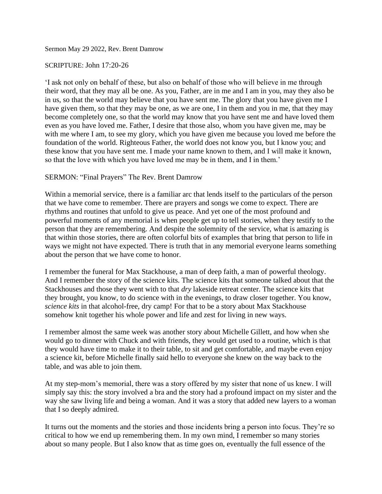Sermon May 29 2022, Rev. Brent Damrow

## SCRIPTURE: John 17:20-26

'I ask not only on behalf of these, but also on behalf of those who will believe in me through their word, that they may all be one. As you, Father, are in me and I am in you, may they also be in us, so that the world may believe that you have sent me. The glory that you have given me I have given them, so that they may be one, as we are one, I in them and you in me, that they may become completely one, so that the world may know that you have sent me and have loved them even as you have loved me. Father, I desire that those also, whom you have given me, may be with me where I am, to see my glory, which you have given me because you loved me before the foundation of the world. Righteous Father, the world does not know you, but I know you; and these know that you have sent me. I made your name known to them, and I will make it known, so that the love with which you have loved me may be in them, and I in them.'

## SERMON: "Final Prayers" The Rev. Brent Damrow

Within a memorial service, there is a familiar arc that lends itself to the particulars of the person that we have come to remember. There are prayers and songs we come to expect. There are rhythms and routines that unfold to give us peace. And yet one of the most profound and powerful moments of any memorial is when people get up to tell stories, when they testify to the person that they are remembering. And despite the solemnity of the service, what is amazing is that within those stories, there are often colorful bits of examples that bring that person to life in ways we might not have expected. There is truth that in any memorial everyone learns something about the person that we have come to honor.

I remember the funeral for Max Stackhouse, a man of deep faith, a man of powerful theology. And I remember the story of the science kits. The science kits that someone talked about that the Stackhouses and those they went with to that *dry* lakeside retreat center. The science kits that they brought, you know, to do science with in the evenings, to draw closer together. You know, *science kits* in that alcohol-free, dry camp! For that to be a story about Max Stackhouse somehow knit together his whole power and life and zest for living in new ways.

I remember almost the same week was another story about Michelle Gillett, and how when she would go to dinner with Chuck and with friends, they would get used to a routine, which is that they would have time to make it to their table, to sit and get comfortable, and maybe even enjoy a science kit, before Michelle finally said hello to everyone she knew on the way back to the table, and was able to join them.

At my step-mom's memorial, there was a story offered by my sister that none of us knew. I will simply say this: the story involved a bra and the story had a profound impact on my sister and the way she saw living life and being a woman. And it was a story that added new layers to a woman that I so deeply admired.

It turns out the moments and the stories and those incidents bring a person into focus. They're so critical to how we end up remembering them. In my own mind, I remember so many stories about so many people. But I also know that as time goes on, eventually the full essence of the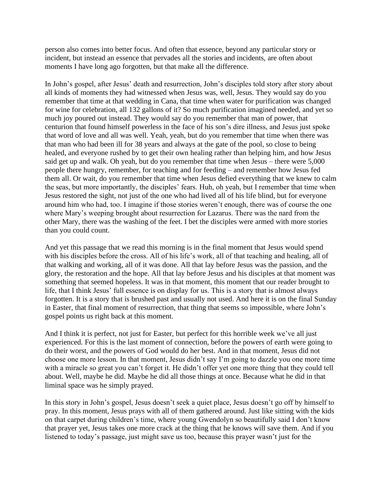person also comes into better focus. And often that essence, beyond any particular story or incident, but instead an essence that pervades all the stories and incidents, are often about moments I have long ago forgotten, but that make all the difference.

In John's gospel, after Jesus' death and resurrection, John's disciples told story after story about all kinds of moments they had witnessed when Jesus was, well, Jesus. They would say do you remember that time at that wedding in Cana, that time when water for purification was changed for wine for celebration, all 132 gallons of it? So much purification imagined needed, and yet so much joy poured out instead. They would say do you remember that man of power, that centurion that found himself powerless in the face of his son's dire illness, and Jesus just spoke that word of love and all was well. Yeah, yeah, but do you remember that time when there was that man who had been ill for 38 years and always at the gate of the pool, so close to being healed, and everyone rushed by to get their own healing rather than helping him, and how Jesus said get up and walk. Oh yeah, but do you remember that time when Jesus – there were 5,000 people there hungry, remember, for teaching and for feeding – and remember how Jesus fed them all. Or wait, do you remember that time when Jesus defied everything that we knew to calm the seas, but more importantly, the disciples' fears. Huh, oh yeah, but I remember that time when Jesus restored the sight, not just of the one who had lived all of his life blind, but for everyone around him who had, too. I imagine if those stories weren't enough, there was of course the one where Mary's weeping brought about resurrection for Lazarus. There was the nard from the other Mary, there was the washing of the feet. I bet the disciples were armed with more stories than you could count.

And yet this passage that we read this morning is in the final moment that Jesus would spend with his disciples before the cross. All of his life's work, all of that teaching and healing, all of that walking and working, all of it was done. All that lay before Jesus was the passion, and the glory, the restoration and the hope. All that lay before Jesus and his disciples at that moment was something that seemed hopeless. It was in that moment, this moment that our reader brought to life, that I think Jesus' full essence is on display for us. This is a story that is almost always forgotten. It is a story that is brushed past and usually not used. And here it is on the final Sunday in Easter, that final moment of resurrection, that thing that seems so impossible, where John's gospel points us right back at this moment.

And I think it is perfect, not just for Easter, but perfect for this horrible week we've all just experienced. For this is the last moment of connection, before the powers of earth were going to do their worst, and the powers of God would do her best. And in that moment, Jesus did not choose one more lesson. In that moment, Jesus didn't say I'm going to dazzle you one more time with a miracle so great you can't forget it. He didn't offer yet one more thing that they could tell about. Well, maybe he did. Maybe he did all those things at once. Because what he did in that liminal space was he simply prayed.

In this story in John's gospel, Jesus doesn't seek a quiet place, Jesus doesn't go off by himself to pray. In this moment, Jesus prays with all of them gathered around. Just like sitting with the kids on that carpet during children's time, where young Gwendolyn so beautifully said I don't know that prayer yet, Jesus takes one more crack at the thing that he knows will save them. And if you listened to today's passage, just might save us too, because this prayer wasn't just for the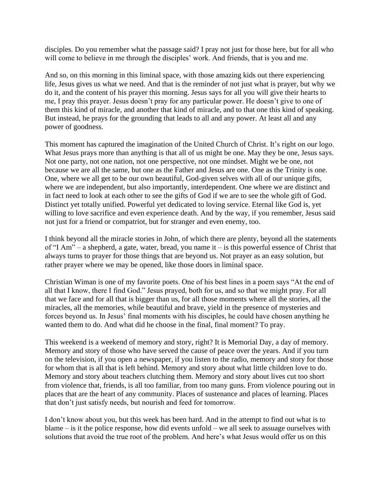disciples. Do you remember what the passage said? I pray not just for those here, but for all who will come to believe in me through the disciples' work. And friends, that is you and me.

And so, on this morning in this liminal space, with those amazing kids out there experiencing life, Jesus gives us what we need. And that is the reminder of not just what is prayer, but why we do it, and the content of his prayer this morning. Jesus says for all you will give their hearts to me, I pray this prayer. Jesus doesn't pray for any particular power. He doesn't give to one of them this kind of miracle, and another that kind of miracle, and to that one this kind of speaking. But instead, he prays for the grounding that leads to all and any power. At least all and any power of goodness.

This moment has captured the imagination of the United Church of Christ. It's right on our logo. What Jesus prays more than anything is that all of us might be one. May they be one, Jesus says. Not one party, not one nation, not one perspective, not one mindset. Might we be one, not because we are all the same, but one as the Father and Jesus are one. One as the Trinity is one. One, where we all get to be our own beautiful, God-given selves with all of our unique gifts, where we are independent, but also importantly, interdependent. One where we are distinct and in fact need to look at each other to see the gifts of God if we are to see the whole gift of God. Distinct yet totally unified. Powerful yet dedicated to loving service. Eternal like God is, yet willing to love sacrifice and even experience death. And by the way, if you remember, Jesus said not just for a friend or compatriot, but for stranger and even enemy, too.

I think beyond all the miracle stories in John, of which there are plenty, beyond all the statements of "I Am" – a shepherd, a gate, water, bread, you name it – is this powerful essence of Christ that always turns to prayer for those things that are beyond us. Not prayer as an easy solution, but rather prayer where we may be opened, like those doors in liminal space.

Christian Wiman is one of my favorite poets. One of his best lines in a poem says "At the end of all that I know, there I find God." Jesus prayed, both for us, and so that we might pray. For all that we face and for all that is bigger than us, for all those moments where all the stories, all the miracles, all the memories, while beautiful and brave, yield in the presence of mysteries and forces beyond us. In Jesus' final moments with his disciples, he could have chosen anything he wanted them to do. And what did he choose in the final, final moment? To pray.

This weekend is a weekend of memory and story, right? It is Memorial Day, a day of memory. Memory and story of those who have served the cause of peace over the years. And if you turn on the television, if you open a newspaper, if you listen to the radio, memory and story for those for whom that is all that is left behind. Memory and story about what little children love to do. Memory and story about teachers clutching them. Memory and story about lives cut too short from violence that, friends, is all too familiar, from too many guns. From violence pouring out in places that are the heart of any community. Places of sustenance and places of learning. Places that don't just satisfy needs, but nourish and feed for tomorrow.

I don't know about you, but this week has been hard. And in the attempt to find out what is to blame – is it the police response, how did events unfold – we all seek to assuage ourselves with solutions that avoid the true root of the problem. And here's what Jesus would offer us on this